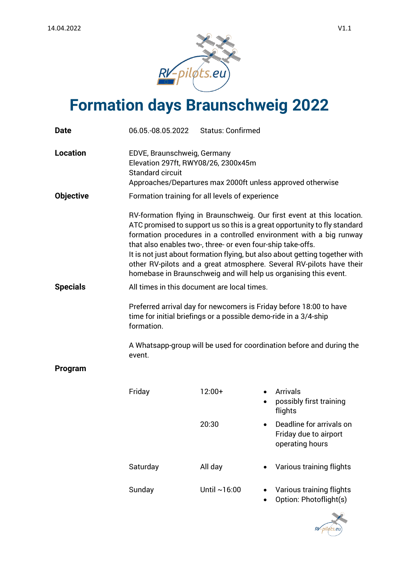

## **Formation days Braunschweig 2022**

| <b>Date</b>      | 06.05.-08.05.2022                                                                                                                                                                                                                                                                     | <b>Status: Confirmed</b> |                                                                                                                                                                                                                                                                                                                                                                                                                                                      |
|------------------|---------------------------------------------------------------------------------------------------------------------------------------------------------------------------------------------------------------------------------------------------------------------------------------|--------------------------|------------------------------------------------------------------------------------------------------------------------------------------------------------------------------------------------------------------------------------------------------------------------------------------------------------------------------------------------------------------------------------------------------------------------------------------------------|
| <b>Location</b>  | EDVE, Braunschweig, Germany<br>Elevation 297ft, RWY08/26, 2300x45m<br><b>Standard circuit</b><br>Approaches/Departures max 2000ft unless approved otherwise                                                                                                                           |                          |                                                                                                                                                                                                                                                                                                                                                                                                                                                      |
| <b>Objective</b> | Formation training for all levels of experience                                                                                                                                                                                                                                       |                          |                                                                                                                                                                                                                                                                                                                                                                                                                                                      |
|                  | that also enables two-, three- or even four-ship take-offs.                                                                                                                                                                                                                           |                          | RV-formation flying in Braunschweig. Our first event at this location.<br>ATC promised to support us so this is a great opportunity to fly standard<br>formation procedures in a controlled environment with a big runway<br>It is not just about formation flying, but also about getting together with<br>other RV-pilots and a great atmosphere. Several RV-pilots have their<br>homebase in Braunschweig and will help us organising this event. |
| <b>Specials</b>  | All times in this document are local times.<br>Preferred arrival day for newcomers is Friday before 18:00 to have<br>time for initial briefings or a possible demo-ride in a 3/4-ship<br>formation.<br>A Whatsapp-group will be used for coordination before and during the<br>event. |                          |                                                                                                                                                                                                                                                                                                                                                                                                                                                      |
|                  |                                                                                                                                                                                                                                                                                       |                          |                                                                                                                                                                                                                                                                                                                                                                                                                                                      |
|                  |                                                                                                                                                                                                                                                                                       |                          |                                                                                                                                                                                                                                                                                                                                                                                                                                                      |
| Program          |                                                                                                                                                                                                                                                                                       |                          |                                                                                                                                                                                                                                                                                                                                                                                                                                                      |
|                  | Friday                                                                                                                                                                                                                                                                                | $12:00+$                 | <b>Arrivals</b><br>possibly first training<br>flights                                                                                                                                                                                                                                                                                                                                                                                                |
|                  |                                                                                                                                                                                                                                                                                       | 20:30                    | Deadline for arrivals on<br>Friday due to airport<br>operating hours                                                                                                                                                                                                                                                                                                                                                                                 |
|                  | Saturday                                                                                                                                                                                                                                                                              | All day                  | Various training flights                                                                                                                                                                                                                                                                                                                                                                                                                             |
|                  | Sunday                                                                                                                                                                                                                                                                                | Until $~16:00$           | Various training flights<br>Option: Photoflight(s)                                                                                                                                                                                                                                                                                                                                                                                                   |